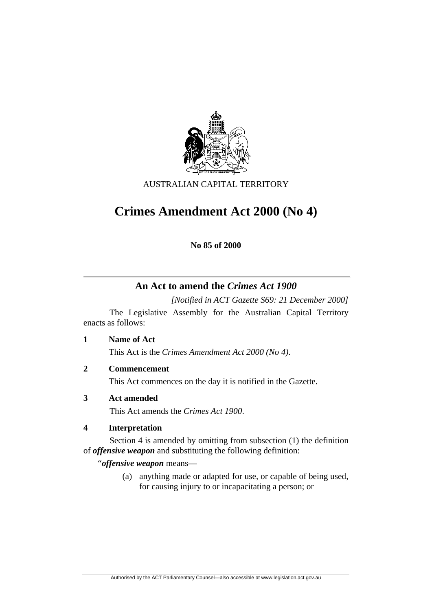

AUSTRALIAN CAPITAL TERRITORY

# **Crimes Amendment Act 2000 (No 4)**

**No 85 of 2000** 

# **An Act to amend the** *Crimes Act 1900*

*[Notified in ACT Gazette S69: 21 December 2000]* 

 The Legislative Assembly for the Australian Capital Territory enacts as follows:

**1 Name of Act** 

This Act is the *Crimes Amendment Act 2000 (No 4)*.

**2 Commencement** 

This Act commences on the day it is notified in the Gazette.

# **3 Act amended**

This Act amends the *Crimes Act 1900*.

# **4 Interpretation**

 Section 4 is amended by omitting from subsection (1) the definition of *offensive weapon* and substituting the following definition:

"*offensive weapon* means—

 (a) anything made or adapted for use, or capable of being used, for causing injury to or incapacitating a person; or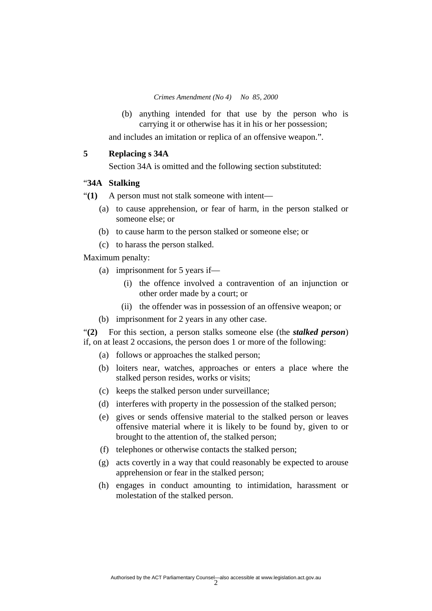*Crimes Amendment (No 4) No 85, 2000* 

 (b) anything intended for that use by the person who is carrying it or otherwise has it in his or her possession;

and includes an imitation or replica of an offensive weapon.".

#### **5 Replacing s 34A**

Section 34A is omitted and the following section substituted:

#### "**34A Stalking**

"**(1)** A person must not stalk someone with intent—

- (a) to cause apprehension, or fear of harm, in the person stalked or someone else; or
- (b) to cause harm to the person stalked or someone else; or
- (c) to harass the person stalked.

Maximum penalty:

- (a) imprisonment for 5 years if—
	- (i) the offence involved a contravention of an injunction or other order made by a court; or
	- (ii) the offender was in possession of an offensive weapon; or
- (b) imprisonment for 2 years in any other case.

"**(2)** For this section, a person stalks someone else (the *stalked person*) if, on at least 2 occasions, the person does 1 or more of the following:

- (a) follows or approaches the stalked person;
- (b) loiters near, watches, approaches or enters a place where the stalked person resides, works or visits;
- (c) keeps the stalked person under surveillance;
- (d) interferes with property in the possession of the stalked person;
- (e) gives or sends offensive material to the stalked person or leaves offensive material where it is likely to be found by, given to or brought to the attention of, the stalked person;
- (f) telephones or otherwise contacts the stalked person;
- (g) acts covertly in a way that could reasonably be expected to arouse apprehension or fear in the stalked person;
- (h) engages in conduct amounting to intimidation, harassment or molestation of the stalked person.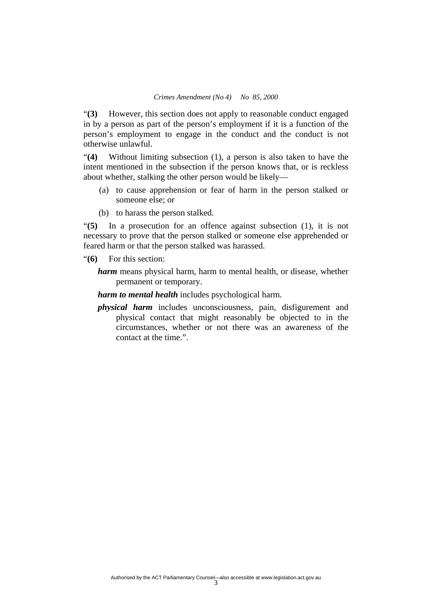"**(3)** However, this section does not apply to reasonable conduct engaged in by a person as part of the person's employment if it is a function of the person's employment to engage in the conduct and the conduct is not otherwise unlawful.

"**(4)** Without limiting subsection (1), a person is also taken to have the intent mentioned in the subsection if the person knows that, or is reckless about whether, stalking the other person would be likely—

- (a) to cause apprehension or fear of harm in the person stalked or someone else; or
- (b) to harass the person stalked.

"**(5)** In a prosecution for an offence against subsection (1), it is not necessary to prove that the person stalked or someone else apprehended or feared harm or that the person stalked was harassed.

"**(6)** For this section:

*harm* means physical harm, harm to mental health, or disease, whether permanent or temporary.

*harm to mental health* includes psychological harm.

*physical harm* includes unconsciousness, pain, disfigurement and physical contact that might reasonably be objected to in the circumstances, whether or not there was an awareness of the contact at the time.".